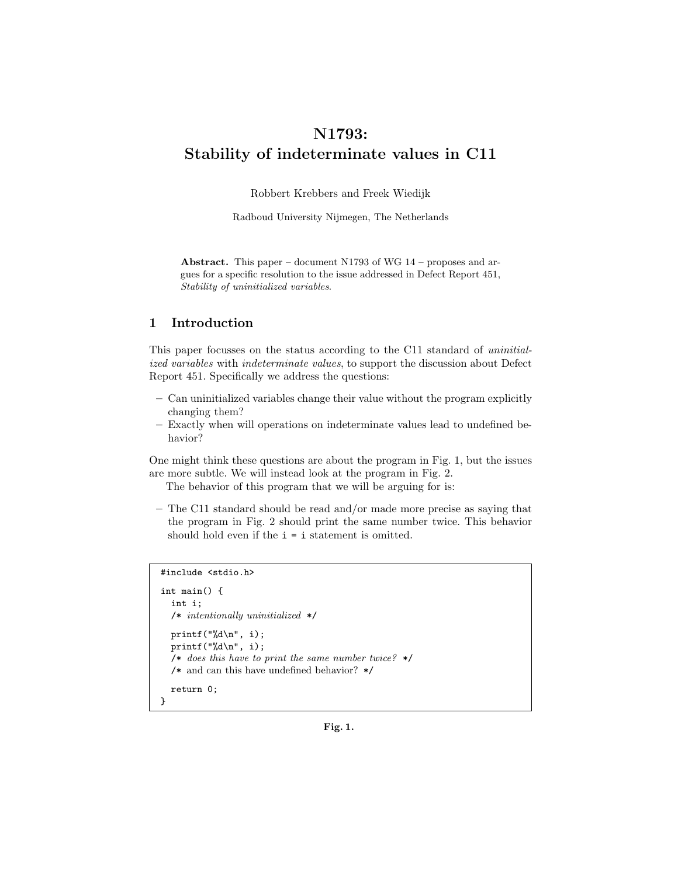# N1793: Stability of indeterminate values in C11

Robbert Krebbers and Freek Wiedijk

Radboud University Nijmegen, The Netherlands

Abstract. This paper – document N1793 of WG 14 – proposes and argues for a specific resolution to the issue addressed in Defect Report 451, Stability of uninitialized variables.

# 1 Introduction

This paper focusses on the status according to the C11 standard of uninitialized variables with indeterminate values, to support the discussion about Defect Report 451. Specifically we address the questions:

- Can uninitialized variables change their value without the program explicitly changing them?
- Exactly when will operations on indeterminate values lead to undefined behavior?

One might think these questions are about the program in Fig. 1, but the issues are more subtle. We will instead look at the program in Fig. 2.

The behavior of this program that we will be arguing for is:

– The C11 standard should be read and/or made more precise as saying that the program in Fig. 2 should print the same number twice. This behavior should hold even if the  $i = i$  statement is omitted.

```
#include <stdio.h>
```

```
int main() {
  int i;
  /* intentionally uninitialized */
  printf("%d\n", i);
  printf("%d\n", i);
  /* does this have to print the same number twice? */
  /* and can this have undefined behavior? */
  return 0;
}
```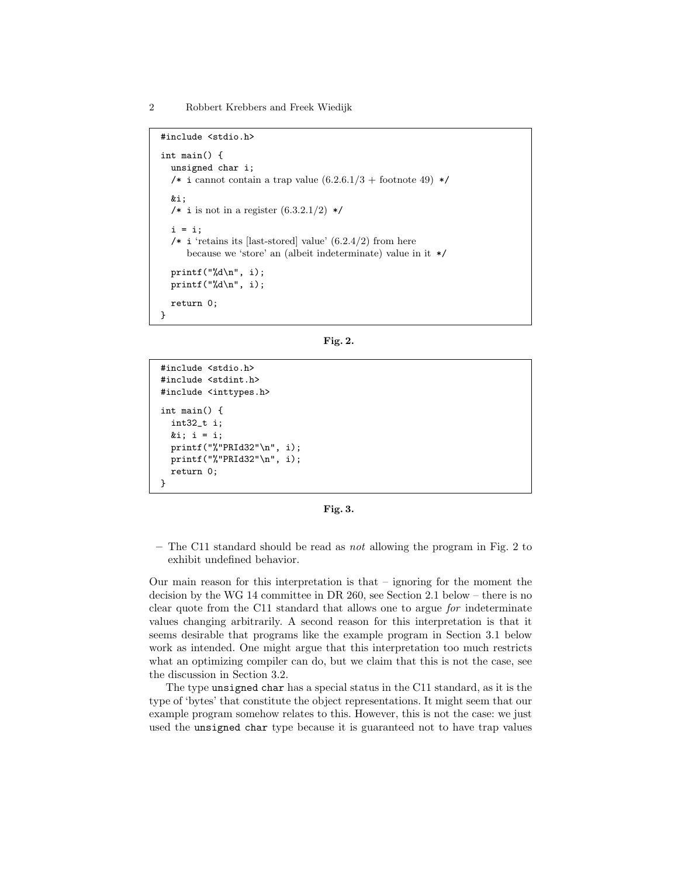2 Robbert Krebbers and Freek Wiedijk

```
#include <stdio.h>
int main() {
  unsigned char i;
  /* i cannot contain a trap value (6.2.6.1/3 + \text{footnote } 49) */
  &i;
  /* i is not in a register (6.3.2.1/2) */
  i = i;/* i 'retains its [last-stored] value' (6.2.4/2) from here
     because we 'store' an (albeit indeterminate) value in it */
  printf("%d\n", i);
  printf("%d\n", i);
  return 0;
}
```

|--|--|

```
#include <stdio.h>
#include <stdint.h>
#include <inttypes.h>
int main() {
  int32_t i;
  ⅈ i = i;printf("%"PRId32"\n", i);
 printf("%"PRId32"\n", i);
 return 0;
}
```
Fig. 3.

– The C11 standard should be read as not allowing the program in Fig. 2 to exhibit undefined behavior.

Our main reason for this interpretation is that – ignoring for the moment the decision by the WG 14 committee in DR 260, see Section 2.1 below – there is no clear quote from the C11 standard that allows one to argue for indeterminate values changing arbitrarily. A second reason for this interpretation is that it seems desirable that programs like the example program in Section 3.1 below work as intended. One might argue that this interpretation too much restricts what an optimizing compiler can do, but we claim that this is not the case, see the discussion in Section 3.2.

The type unsigned char has a special status in the C11 standard, as it is the type of 'bytes' that constitute the object representations. It might seem that our example program somehow relates to this. However, this is not the case: we just used the unsigned char type because it is guaranteed not to have trap values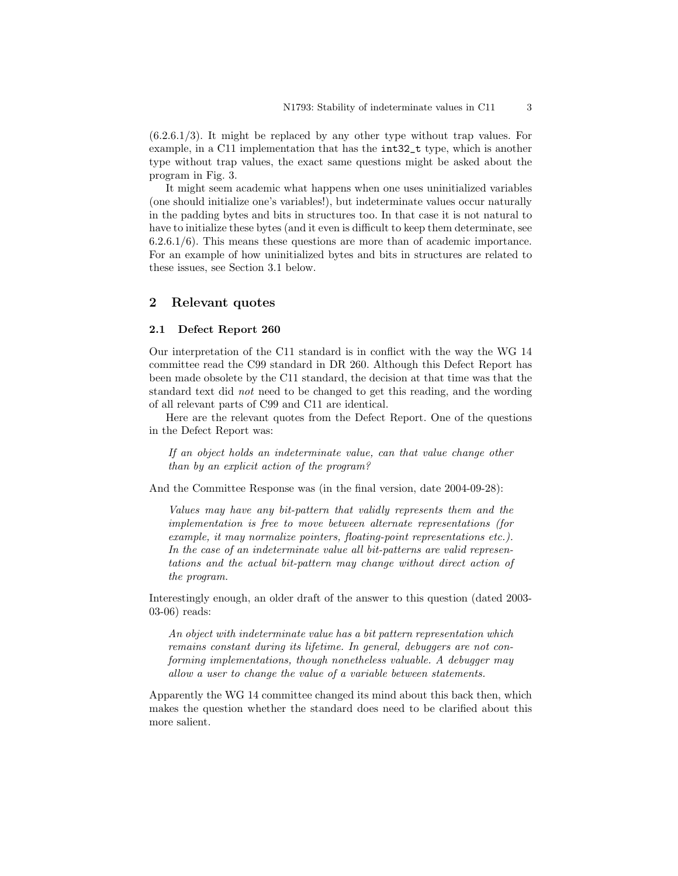(6.2.6.1/3). It might be replaced by any other type without trap values. For example, in a C11 implementation that has the int32\_t type, which is another type without trap values, the exact same questions might be asked about the program in Fig. 3.

It might seem academic what happens when one uses uninitialized variables (one should initialize one's variables!), but indeterminate values occur naturally in the padding bytes and bits in structures too. In that case it is not natural to have to initialize these bytes (and it even is difficult to keep them determinate, see 6.2.6.1/6). This means these questions are more than of academic importance. For an example of how uninitialized bytes and bits in structures are related to these issues, see Section 3.1 below.

## 2 Relevant quotes

#### 2.1 Defect Report 260

Our interpretation of the C11 standard is in conflict with the way the WG 14 committee read the C99 standard in DR 260. Although this Defect Report has been made obsolete by the C11 standard, the decision at that time was that the standard text did not need to be changed to get this reading, and the wording of all relevant parts of C99 and C11 are identical.

Here are the relevant quotes from the Defect Report. One of the questions in the Defect Report was:

If an object holds an indeterminate value, can that value change other than by an explicit action of the program?

And the Committee Response was (in the final version, date 2004-09-28):

Values may have any bit-pattern that validly represents them and the implementation is free to move between alternate representations (for example, it may normalize pointers, floating-point representations etc.). In the case of an indeterminate value all bit-patterns are valid representations and the actual bit-pattern may change without direct action of the program.

Interestingly enough, an older draft of the answer to this question (dated 2003- 03-06) reads:

An object with indeterminate value has a bit pattern representation which remains constant during its lifetime. In general, debuggers are not conforming implementations, though nonetheless valuable. A debugger may allow a user to change the value of a variable between statements.

Apparently the WG 14 committee changed its mind about this back then, which makes the question whether the standard does need to be clarified about this more salient.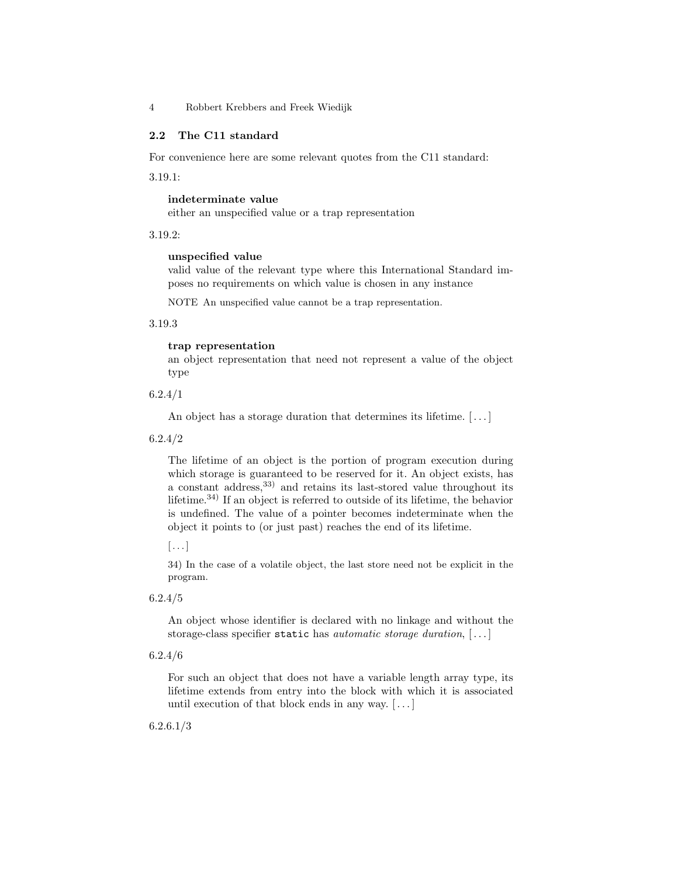4 Robbert Krebbers and Freek Wiedijk

## 2.2 The C11 standard

For convenience here are some relevant quotes from the C11 standard:

3.19.1:

## indeterminate value

either an unspecified value or a trap representation

3.19.2:

#### unspecified value

valid value of the relevant type where this International Standard imposes no requirements on which value is chosen in any instance

NOTE An unspecified value cannot be a trap representation.

3.19.3

## trap representation

an object representation that need not represent a value of the object type

6.2.4/1

An object has a storage duration that determines its lifetime. [...]

6.2.4/2

The lifetime of an object is the portion of program execution during which storage is guaranteed to be reserved for it. An object exists, has a constant address,33) and retains its last-stored value throughout its lifetime.<sup>34)</sup> If an object is referred to outside of its lifetime, the behavior is undefined. The value of a pointer becomes indeterminate when the object it points to (or just past) reaches the end of its lifetime.

 $\lceil \dots \rceil$ 

34) In the case of a volatile object, the last store need not be explicit in the program.

6.2.4/5

An object whose identifier is declared with no linkage and without the storage-class specifier static has *automatic storage duration*,  $[ \dots ]$ 

6.2.4/6

For such an object that does not have a variable length array type, its lifetime extends from entry into the block with which it is associated until execution of that block ends in any way. [ . . . ]

6.2.6.1/3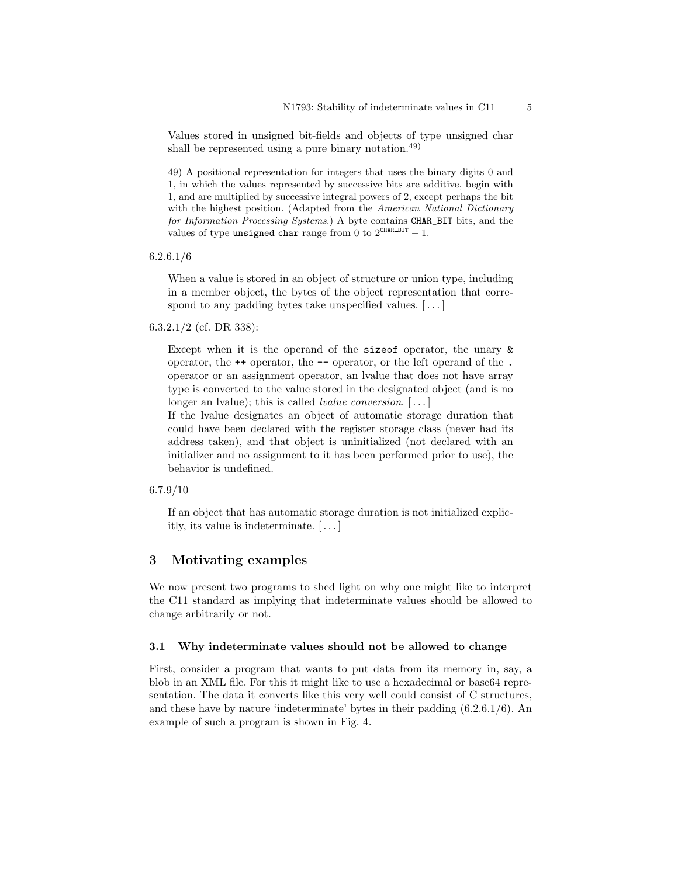Values stored in unsigned bit-fields and objects of type unsigned char shall be represented using a pure binary notation.<sup>49)</sup>

49) A positional representation for integers that uses the binary digits 0 and 1, in which the values represented by successive bits are additive, begin with 1, and are multiplied by successive integral powers of 2, except perhaps the bit with the highest position. (Adapted from the American National Dictionary for Information Processing Systems.) A byte contains CHAR\_BIT bits, and the values of type unsigned char range from 0 to  $2^{\mathtt{CHAR\_BIT}}-1.$ 

6.2.6.1/6

When a value is stored in an object of structure or union type, including in a member object, the bytes of the object representation that correspond to any padding bytes take unspecified values. [...]

6.3.2.1/2 (cf. DR 338):

Except when it is the operand of the sizeof operator, the unary & operator, the ++ operator, the -- operator, or the left operand of the . operator or an assignment operator, an lvalue that does not have array type is converted to the value stored in the designated object (and is no longer an lvalue); this is called *lvalue conversion*. [...]

If the lvalue designates an object of automatic storage duration that could have been declared with the register storage class (never had its address taken), and that object is uninitialized (not declared with an initializer and no assignment to it has been performed prior to use), the behavior is undefined.

6.7.9/10

If an object that has automatic storage duration is not initialized explicitly, its value is indeterminate. [ . . . ]

## 3 Motivating examples

We now present two programs to shed light on why one might like to interpret the C11 standard as implying that indeterminate values should be allowed to change arbitrarily or not.

#### 3.1 Why indeterminate values should not be allowed to change

First, consider a program that wants to put data from its memory in, say, a blob in an XML file. For this it might like to use a hexadecimal or base64 representation. The data it converts like this very well could consist of C structures, and these have by nature 'indeterminate' bytes in their padding (6.2.6.1/6). An example of such a program is shown in Fig. 4.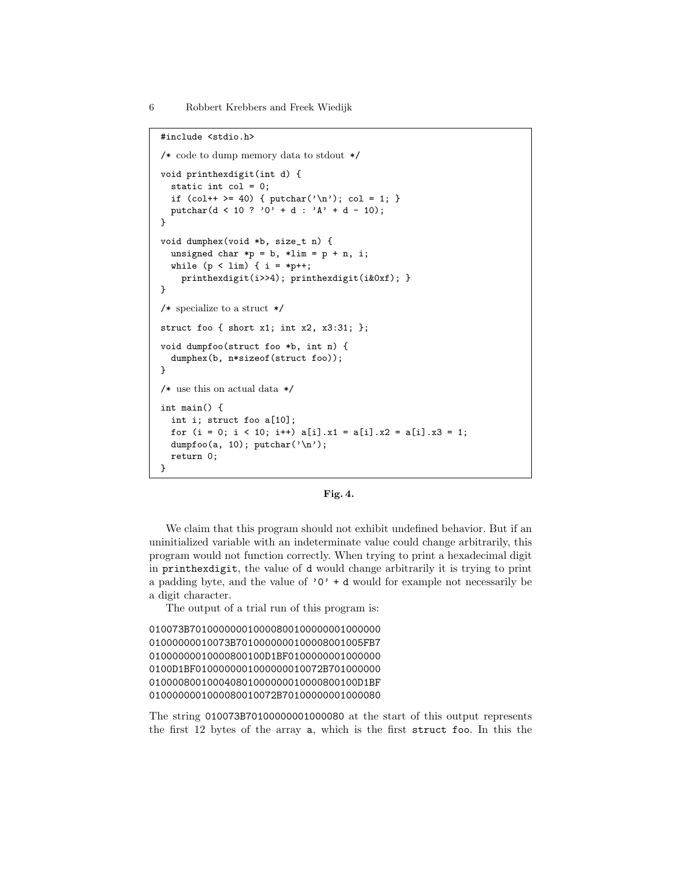```
#include <stdio.h>
/* code to dump memory data to stdout */
void printhexdigit(int d) {
  static int col = 0;
  if (col++ > = 40) { putchar('n'); col = 1; }putchar(d < 10 ? '0' + d : 'A' + d - 10);
}
void dumphex(void *b, size_t n) {
  unsigned char *p = b, *lim = p + n, i;
  while (p < lim) { i = *p++;
    printhexdigit(i>>4); printhexdigit(i&0xf); }
}
/* specialize to a struct */
struct foo { short x1; int x2, x3:31; };
void dumpfoo(struct foo *b, int n) {
  dumphex(b, n*sizeof(struct foo));
}
/\ast\, use this on actual data \,\ast/int main() {
  int i; struct foo a[10];
  for (i = 0; i < 10; i++) a[i].x1 = a[i].x2 = a[i].x3 = 1;dumpfoo(a, 10); putchar('\n');
  return 0;
}
```


We claim that this program should not exhibit undefined behavior. But if an uninitialized variable with an indeterminate value could change arbitrarily, this program would not function correctly. When trying to print a hexadecimal digit in printhexdigit, the value of d would change arbitrarily it is trying to print a padding byte, and the value of  $'0' + d$  would for example not necessarily be a digit character.

The output of a trial run of this program is:

```
010073B701000000010000800100000001000000
01000000010073B7010000000100008001005FB7
01000000010000800100D1BF0100000001000000
0100D1BF0100000001000000010072B701000000
010000800100040801000000010000800100D1BF
0100000001000080010072B70100000001000080
```
The string 010073B70100000001000080 at the start of this output represents the first 12 bytes of the array a, which is the first struct foo. In this the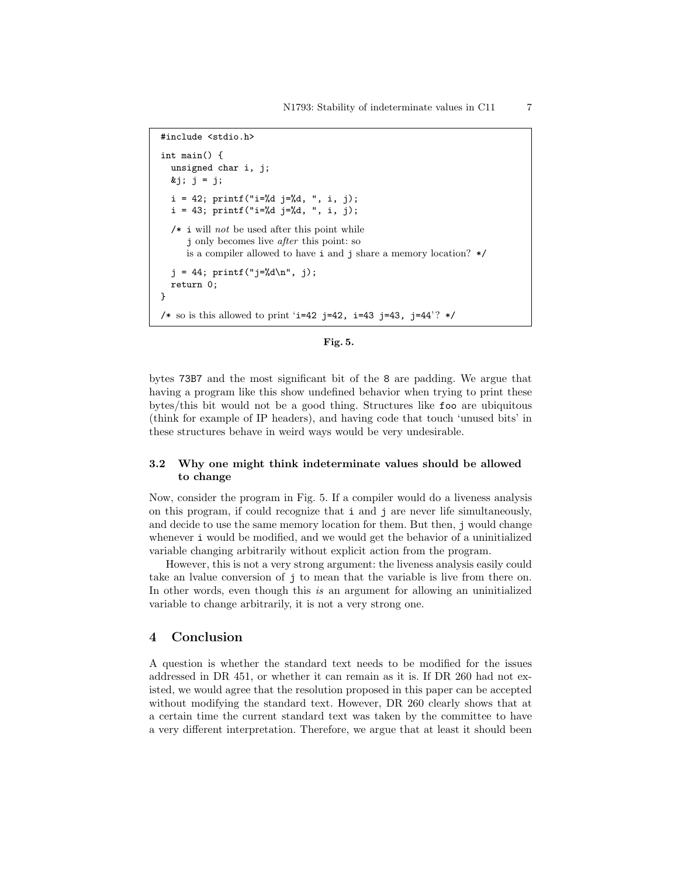```
#include <stdio.h>
int main() {
  unsigned char i, j;
  kj; j = j;
  i = 42; print("i=%d j=%d, ", i, j);i = 43; print("i=%d j=%d, ", i, j);/* i will not be used after this point while
     j only becomes live after this point: so
     is a compiler allowed to have i and j share a memory location? */
  j = 44; print('j=\%d\n', j);
  return 0;
}
/* so is this allowed to print 'i=42 j=42, i=43 j=43, j=44'? */
```


bytes 73B7 and the most significant bit of the 8 are padding. We argue that having a program like this show undefined behavior when trying to print these bytes/this bit would not be a good thing. Structures like foo are ubiquitous (think for example of IP headers), and having code that touch 'unused bits' in these structures behave in weird ways would be very undesirable.

#### 3.2 Why one might think indeterminate values should be allowed to change

Now, consider the program in Fig. 5. If a compiler would do a liveness analysis on this program, if could recognize that i and j are never life simultaneously, and decide to use the same memory location for them. But then, j would change whenever i would be modified, and we would get the behavior of a uninitialized variable changing arbitrarily without explicit action from the program.

However, this is not a very strong argument: the liveness analysis easily could take an lvalue conversion of j to mean that the variable is live from there on. In other words, even though this is an argument for allowing an uninitialized variable to change arbitrarily, it is not a very strong one.

# 4 Conclusion

A question is whether the standard text needs to be modified for the issues addressed in DR 451, or whether it can remain as it is. If DR 260 had not existed, we would agree that the resolution proposed in this paper can be accepted without modifying the standard text. However, DR 260 clearly shows that at a certain time the current standard text was taken by the committee to have a very different interpretation. Therefore, we argue that at least it should been